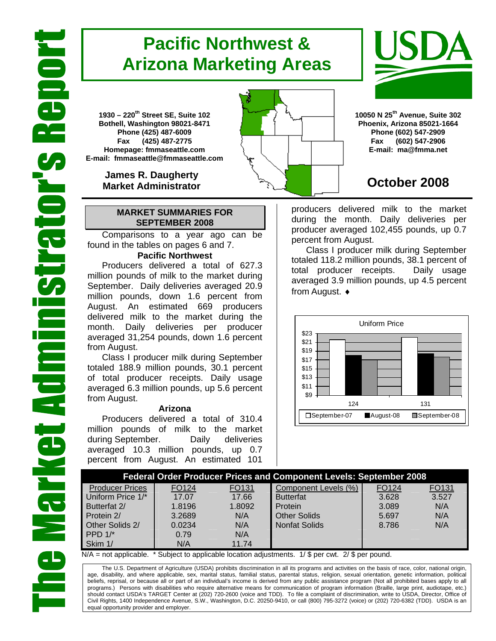# **Pacific Northwest & Arizona Marketing Areas**

**1930 – 220th Street SE, Suite 102 Bothell, Washington 98021-8471 Phone (425) 487-6009 Fax (425) 487-2775 Homepage: fmmaseattle.com E-mail: fmmaseattle@fmmaseattle.com**

> **James R. Daugherty Market Administrator**

### **MARKET SUMMARIES FOR SEPTEMBER 2008**

 Comparisons to a year ago can be found in the tables on pages 6 and 7.

### **Pacific Northwest**

Producers delivered a total of 627.3 million pounds of milk to the market during September. Daily deliveries averaged 20.9 million pounds, down 1.6 percent from August. An estimated 669 producers delivered milk to the market during the month. Daily deliveries per producer averaged 31,254 pounds, down 1.6 percent from August.

Class I producer milk during September totaled 188.9 million pounds, 30.1 percent of total producer receipts. Daily usage averaged 6.3 million pounds, up 5.6 percent from August.

#### **Arizona**

Producers delivered a total of 310.4 million pounds of milk to the market during September. Daily deliveries averaged 10.3 million pounds, up 0.7 percent from August. An estimated 101

**10050 N 25th Avenue, Suite 302 Phoenix, Arizona 85021-1664 Phone (602) 547-2909 Fax (602) 547-2906 E-mail: ma@fmma.net**

## **October 2008**

producers delivered milk to the market during the month. Daily deliveries per producer averaged 102,455 pounds, up 0.7 percent from August.

Class I producer milk during September totaled 118.2 million pounds, 38.1 percent of total producer receipts. Daily usage averaged 3.9 million pounds, up 4.5 percent from August. ♦



|                        |        |                   | <b>Federal Order Producer Prices and Component Levels: September 2008</b> |       |       |
|------------------------|--------|-------------------|---------------------------------------------------------------------------|-------|-------|
| <b>Producer Prices</b> | FO124  | FO <sub>131</sub> | Component Levels (%)                                                      | FO124 | FO131 |
| Uniform Price 1/*      | 17.07  | 17.66             | <b>Butterfat</b>                                                          | 3.628 | 3.527 |
| Butterfat 2/           | 1.8196 | 1.8092            | Protein                                                                   | 3.089 | N/A   |
| Protein 2/             | 3.2689 | N/A               | <b>Other Solids</b>                                                       | 5.697 | N/A   |
| Other Solids 2/        | 0.0234 | N/A               | <b>Nonfat Solids</b>                                                      | 8.786 | N/A   |
| PPD $1/*$              | 0.79   | N/A               |                                                                           |       |       |
| Skim 1/                | N/A    | 11.74             |                                                                           |       |       |

 $N/A$  = not applicable. \* Subject to applicable location adjustments. 1/ \$ per cwt. 2/ \$ per pound.

The U.S. Department of Agriculture (USDA) prohibits discrimination in all its programs and activities on the basis of race, color, national origin, age, disability, and where applicable, sex, marital status, familial status, parental status, religion, sexual orientation, genetic information, political beliefs, reprisal, or because all or part of an individual's income is derived from any public assistance program (Not all prohibited bases apply to all programs.) Persons with disabilities who require alternative means for communication of program information (Braille, large print, audiotape, etc.) should contact USDA's TARGET Center at (202) 720-2600 (voice and TDD). To file a complaint of discrimination, write to USDA, Director, Office of Civil Rights, 1400 Independence Avenue, S.W., Washington, D.C. 20250-9410, or call (800) 795-3272 (voice) or (202) 720-6382 (TDD). USDA is an equal opportunity provider and employer.



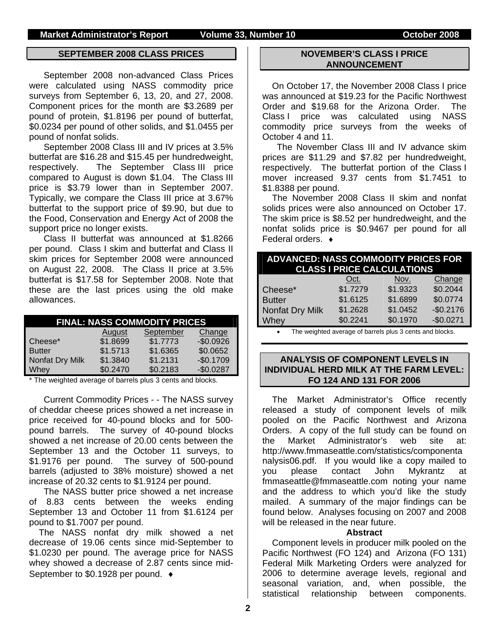#### **SEPTEMBER 2008 CLASS PRICES**

September 2008 non-advanced Class Prices were calculated using NASS commodity price surveys from September 6, 13, 20, and 27, 2008. Component prices for the month are \$3.2689 per pound of protein, \$1.8196 per pound of butterfat, \$0.0234 per pound of other solids, and \$1.0455 per pound of nonfat solids.

September 2008 Class III and IV prices at 3.5% butterfat are \$16.28 and \$15.45 per hundredweight, respectively. The September Class III price compared to August is down \$1.04. The Class III price is \$3.79 lower than in September 2007. Typically, we compare the Class III price at 3.67% butterfat to the support price of \$9.90, but due to the Food, Conservation and Energy Act of 2008 the support price no longer exists.

Class II butterfat was announced at \$1.8266 per pound. Class I skim and butterfat and Class II skim prices for September 2008 were announced on August 22, 2008. The Class II price at 3.5% butterfat is \$17.58 for September 2008. Note that these are the last prices using the old make allowances.

| <b>FINAL: NASS COMMODITY PRICES</b> |          |           |            |  |  |  |  |
|-------------------------------------|----------|-----------|------------|--|--|--|--|
|                                     | August   | September | Change     |  |  |  |  |
| Cheese*                             | \$1.8699 | \$1.7773  | $-$0.0926$ |  |  |  |  |
| <b>Butter</b>                       | \$1.5713 | \$1.6365  | \$0.0652   |  |  |  |  |
| Nonfat Dry Milk                     | \$1.3840 | \$1.2131  | $-$0.1709$ |  |  |  |  |
| Whey                                | \$0.2470 | \$0.2183  | $-$0.0287$ |  |  |  |  |

\* The weighted average of barrels plus 3 cents and blocks.

Current Commodity Prices - - The NASS survey of cheddar cheese prices showed a net increase in price received for 40-pound blocks and for 500 pound barrels. The survey of 40-pound blocks showed a net increase of 20.00 cents between the September 13 and the October 11 surveys, to \$1.9176 per pound. The survey of 500-pound barrels (adjusted to 38% moisture) showed a net increase of 20.32 cents to \$1.9124 per pound.

The NASS butter price showed a net increase of 8.83 cents between the weeks ending September 13 and October 11 from \$1.6124 per pound to \$1.7007 per pound.

The NASS nonfat dry milk showed a net decrease of 19.06 cents since mid-September to \$1.0230 per pound. The average price for NASS whey showed a decrease of 2.87 cents since mid-September to \$0.1928 per pound. ♦

#### **NOVEMBER'S CLASS I PRICE ANNOUNCEMENT**

On October 17, the November 2008 Class I price was announced at \$19.23 for the Pacific Northwest Order and \$19.68 for the Arizona Order. The Class I price was calculated using NASS commodity price surveys from the weeks of October 4 and 11.

The November Class III and IV advance skim prices are \$11.29 and \$7.82 per hundredweight, respectively. The butterfat portion of the Class I mover increased 9.37 cents from \$1.7451 to \$1.8388 per pound.

The November 2008 Class II skim and nonfat solids prices were also announced on October 17. The skim price is \$8.52 per hundredweight, and the nonfat solids price is \$0.9467 per pound for all Federal orders. ♦

| <b>ADVANCED: NASS COMMODITY PRICES FOR</b><br><b>CLASS I PRICE CALCULATIONS</b> |          |          |            |  |  |  |
|---------------------------------------------------------------------------------|----------|----------|------------|--|--|--|
|                                                                                 | Oct.     | Nov.     | Change     |  |  |  |
| Cheese*                                                                         | \$1.7279 | \$1.9323 | \$0.2044   |  |  |  |
| <b>Butter</b>                                                                   | \$1.6125 | \$1.6899 | \$0.0774   |  |  |  |
| Nonfat Dry Milk                                                                 | \$1.2628 | \$1.0452 | $-$0.2176$ |  |  |  |
| Whey                                                                            | \$0.2241 | \$0.1970 | $-$0.0271$ |  |  |  |

The weighted average of barrels plus 3 cents and blocks.

#### **ANALYSIS OF COMPONENT LEVELS IN INDIVIDUAL HERD MILK AT THE FARM LEVEL: FO 124 AND 131 FOR 2006**

The Market Administrator's Office recently released a study of component levels of milk pooled on the Pacific Northwest and Arizona Orders. A copy of the full study can be found on the Market Administrator's web site at: http://www.fmmaseattle.com/statistics/componenta nalysis06.pdf. If you would like a copy mailed to you please contact John Mykrantz at fmmaseattle@fmmaseattle.com noting your name and the address to which you'd like the study mailed. A summary of the major findings can be found below. Analyses focusing on 2007 and 2008 will be released in the near future.

#### **Abstract**

Component levels in producer milk pooled on the Pacific Northwest (FO 124) and Arizona (FO 131) Federal Milk Marketing Orders were analyzed for 2006 to determine average levels, regional and seasonal variation, and, when possible, the statistical relationship between components.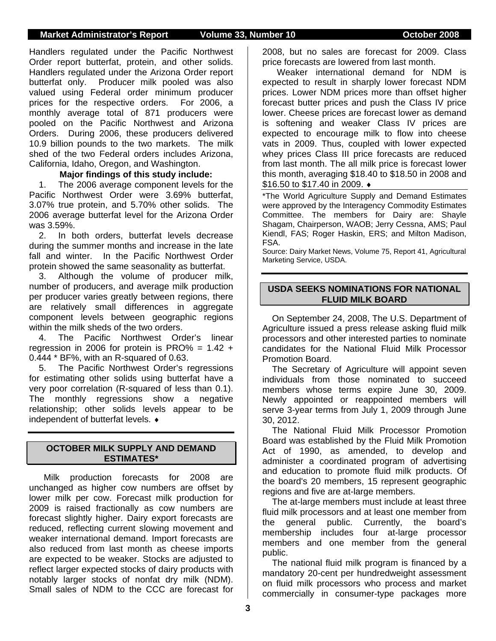Handlers regulated under the Pacific Northwest Order report butterfat, protein, and other solids. Handlers regulated under the Arizona Order report butterfat only. Producer milk pooled was also valued using Federal order minimum producer prices for the respective orders. For 2006, a monthly average total of 871 producers were pooled on the Pacific Northwest and Arizona Orders. During 2006, these producers delivered 10.9 billion pounds to the two markets. The milk shed of the two Federal orders includes Arizona, California, Idaho, Oregon, and Washington.

### **Major findings of this study include:**

1. The 2006 average component levels for the Pacific Northwest Order were 3.69% butterfat, 3.07% true protein, and 5.70% other solids. The 2006 average butterfat level for the Arizona Order was 3.59%.

2. In both orders, butterfat levels decrease during the summer months and increase in the late fall and winter. In the Pacific Northwest Order protein showed the same seasonality as butterfat.

3. Although the volume of producer milk, number of producers, and average milk production per producer varies greatly between regions, there are relatively small differences in aggregate component levels between geographic regions within the milk sheds of the two orders.

4. The Pacific Northwest Order's linear regression in 2006 for protein is PRO% =  $1.42 +$ 0.444 \* BF%, with an R-squared of 0.63.

5. The Pacific Northwest Order's regressions for estimating other solids using butterfat have a very poor correlation (R-squared of less than 0.1). The monthly regressions show a negative relationship; other solids levels appear to be independent of butterfat levels. ♦

### **OCTOBER MILK SUPPLY AND DEMAND ESTIMATES\***

Milk production forecasts for 2008 are unchanged as higher cow numbers are offset by lower milk per cow. Forecast milk production for 2009 is raised fractionally as cow numbers are forecast slightly higher. Dairy export forecasts are reduced, reflecting current slowing movement and weaker international demand. Import forecasts are also reduced from last month as cheese imports are expected to be weaker. Stocks are adjusted to reflect larger expected stocks of dairy products with notably larger stocks of nonfat dry milk (NDM). Small sales of NDM to the CCC are forecast for

2008, but no sales are forecast for 2009. Class price forecasts are lowered from last month.

Weaker international demand for NDM is expected to result in sharply lower forecast NDM prices. Lower NDM prices more than offset higher forecast butter prices and push the Class IV price lower. Cheese prices are forecast lower as demand is softening and weaker Class IV prices are expected to encourage milk to flow into cheese vats in 2009. Thus, coupled with lower expected whey prices Class III price forecasts are reduced from last month. The all milk price is forecast lower this month, averaging \$18.40 to \$18.50 in 2008 and \$16.50 to \$17.40 in 2009. ♦

\*The World Agriculture Supply and Demand Estimates were approved by the Interagency Commodity Estimates Committee. The members for Dairy are: Shayle Shagam, Chairperson, WAOB; Jerry Cessna, AMS; Paul Kiendl, FAS; Roger Haskin, ERS; and Milton Madison, FSA.

Source: Dairy Market News, Volume 75, Report 41, Agricultural Marketing Service, USDA.

### **USDA SEEKS NOMINATIONS FOR NATIONAL FLUID MILK BOARD**

On September 24, 2008, The U.S. Department of Agriculture issued a press release asking fluid milk processors and other interested parties to nominate candidates for the National Fluid Milk Processor Promotion Board.

The Secretary of Agriculture will appoint seven individuals from those nominated to succeed members whose terms expire June 30, 2009. Newly appointed or reappointed members will serve 3-year terms from July 1, 2009 through June 30, 2012.

The National Fluid Milk Processor Promotion Board was established by the Fluid Milk Promotion Act of 1990, as amended, to develop and administer a coordinated program of advertising and education to promote fluid milk products. Of the board's 20 members, 15 represent geographic regions and five are at-large members.

The at-large members must include at least three fluid milk processors and at least one member from the general public. Currently, the board's membership includes four at-large processor members and one member from the general public.

The national fluid milk program is financed by a mandatory 20-cent per hundredweight assessment on fluid milk processors who process and market commercially in consumer-type packages more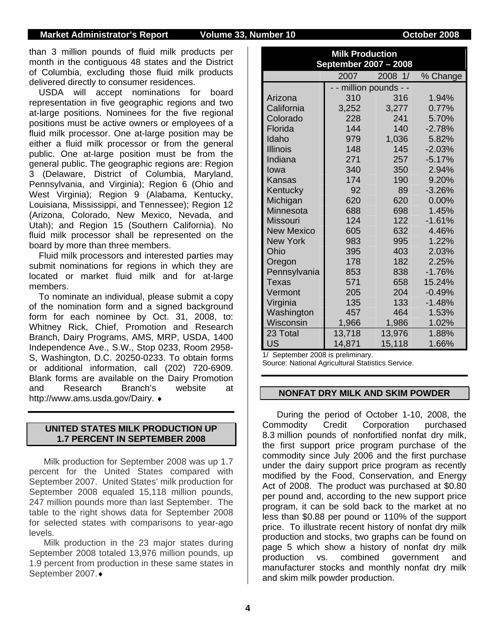than 3 million pounds of fluid milk products per month in the contiguous 48 states and the District of Columbia, excluding those fluid milk products delivered directly to consumer residences.

USDA will accept nominations for board representation in five geographic regions and two at-large positions. Nominees for the five regional positions must be active owners or employees of a fluid milk processor. One at-large position may be either a fluid milk processor or from the general public. One at-large position must be from the general public. The geographic regions are: Region 3 (Delaware, District of Columbia, Maryland, Pennsylvania, and Virginia); Region 6 (Ohio and West Virginia); Region 9 (Alabama, Kentucky, Louisiana, Mississippi, and Tennessee); Region 12 (Arizona, Colorado, New Mexico, Nevada, and Utah); and Region 15 (Southern California). No fluid milk processor shall be represented on the board by more than three members.

Fluid milk processors and interested parties may submit nominations for regions in which they are located or market fluid milk and for at-large members.

To nominate an individual, please submit a copy of the nomination form and a signed background form for each nominee by Oct. 31, 2008, to: Whitney Rick, Chief, Promotion and Research Branch, Dairy Programs, AMS, MRP, USDA, 1400 Independence Ave., S.W., Stop 0233, Room 2958- S, Washington, D.C. 20250-0233. To obtain forms or additional information, call (202) 720-6909. Blank forms are available on the Dairy Promotion and Research Branch's website at http://www.ams.usda.gov/Dairy. ♦

### **UNITED STATES MILK PRODUCTION UP 1.7 PERCENT IN SEPTEMBER 2008**

Milk production for September 2008 was up 1.7 percent for the United States compared with September 2007. United States' milk production for September 2008 equaled 15,118 million pounds, 247 million pounds more than last September. The table to the right shows data for September 2008 for selected states with comparisons to year-ago levels.

 Milk production in the 23 major states during September 2008 totaled 13,976 million pounds, up 1.9 percent from production in these same states in September 2007.♦

| <b>Milk Production</b><br>September 2007 - 2008 |        |                      |          |  |  |  |  |
|-------------------------------------------------|--------|----------------------|----------|--|--|--|--|
|                                                 | 2007   | 2008 1/              | % Change |  |  |  |  |
|                                                 |        | - million pounds - - |          |  |  |  |  |
| Arizona                                         | 310    | 316                  | 1.94%    |  |  |  |  |
| California                                      | 3,252  | 3,277                | 0.77%    |  |  |  |  |
| Colorado                                        | 228    | 241                  | 5.70%    |  |  |  |  |
| Florida                                         | 144    | 140                  | $-2.78%$ |  |  |  |  |
| Idaho                                           | 979    | 1,036                | 5.82%    |  |  |  |  |
| <b>Illinois</b>                                 | 148    | 145                  | $-2.03%$ |  |  |  |  |
| Indiana                                         | 271    | 257                  | $-5.17%$ |  |  |  |  |
| lowa                                            | 340    | 350                  | 2.94%    |  |  |  |  |
| Kansas                                          | 174    | 190                  | 9.20%    |  |  |  |  |
| Kentucky                                        | 92     | 89                   | $-3.26%$ |  |  |  |  |
| Michigan                                        | 620    | 620                  | $0.00\%$ |  |  |  |  |
| Minnesota                                       | 688    | 698                  | 1.45%    |  |  |  |  |
| <b>Missouri</b>                                 | 124    | 122                  | $-1.61%$ |  |  |  |  |
| <b>New Mexico</b>                               | 605    | 632                  | 4.46%    |  |  |  |  |
| <b>New York</b>                                 | 983    | 995                  | 1.22%    |  |  |  |  |
| Ohio                                            | 395    | 403                  | 2.03%    |  |  |  |  |
| Oregon                                          | 178    | 182                  | 2.25%    |  |  |  |  |
| Pennsylvania                                    | 853    | 838                  | $-1.76%$ |  |  |  |  |
| <b>Texas</b>                                    | 571    | 658                  | 15.24%   |  |  |  |  |
| Vermont                                         | 205    | 204                  | $-0.49%$ |  |  |  |  |
| Virginia                                        | 135    | 133                  | $-1.48%$ |  |  |  |  |
| Washington                                      | 457    | 464                  | 1.53%    |  |  |  |  |
| Wisconsin                                       | 1,966  | 1,986                | 1.02%    |  |  |  |  |
| 23 Total                                        | 13,718 | 13,976               | 1.88%    |  |  |  |  |
| <b>US</b>                                       | 14,871 | 15,118               | 1.66%    |  |  |  |  |

1/ September 2008 is preliminary.

Source: National Agricultural Statistics Service.

#### **NONFAT DRY MILK AND SKIM POWDER**

During the period of October 1-10, 2008, the Commodity Credit Corporation purchased 8.3 million pounds of nonfortified nonfat dry milk, the first support price program purchase of the commodity since July 2006 and the first purchase under the dairy support price program as recently modified by the Food, Conservation, and Energy Act of 2008. The product was purchased at \$0.80 per pound and, according to the new support price program, it can be sold back to the market at no less than \$0.88 per pound or 110% of the support price. To illustrate recent history of nonfat dry milk production and stocks, two graphs can be found on page 5 which show a history of nonfat dry milk production vs. combined government and manufacturer stocks and monthly nonfat dry milk and skim milk powder production.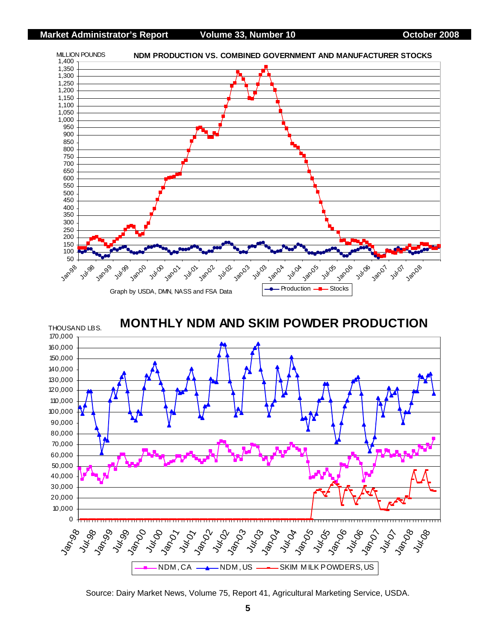

**MONTHLY NDM AND SKIM POWDER PRODUCTION**



Source: Dairy Market News, Volume 75, Report 41, Agricultural Marketing Service, USDA.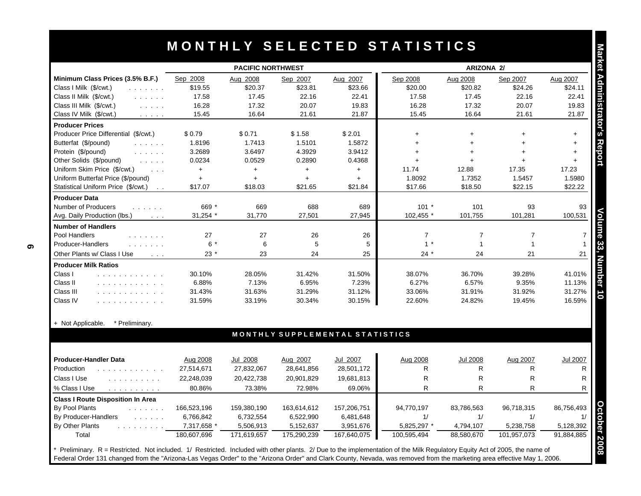|                                                                                                                | <b>PACIFIC NORTHWEST</b> |             |                |                                 |                | <b>ARIZONA 2/</b> |                |                 |
|----------------------------------------------------------------------------------------------------------------|--------------------------|-------------|----------------|---------------------------------|----------------|-------------------|----------------|-----------------|
| Minimum Class Prices (3.5% B.F.)                                                                               | Sep 2008                 | Aug 2008    | Sep 2007       | Aug 2007                        | Sep 2008       | Aug 2008          | Sep 2007       | Aug 2007        |
| Class I Milk (\$/cwt.)<br>and a straight and                                                                   | \$19.55                  | \$20.37     | \$23.81        | \$23.66                         | \$20.00        | \$20.82           | \$24.26        | \$24.11         |
| Class II Milk (\$/cwt.)<br>and a straight                                                                      | 17.58                    | 17.45       | 22.16          | 22.41                           | 17.58          | 17.45             | 22.16          | 22.41           |
| Class III Milk (\$/cwt.)                                                                                       | 16.28                    | 17.32       | 20.07          | 19.83                           | 16.28          | 17.32             | 20.07          | 19.83           |
| Class IV Milk (\$/cwt.)<br>$\mathcal{L}^{\mathcal{A}}$ , and $\mathcal{L}^{\mathcal{A}}$ , and                 | 15.45                    | 16.64       | 21.61          | 21.87                           | 15.45          | 16.64             | 21.61          | 21.87           |
| <b>Producer Prices</b>                                                                                         |                          |             |                |                                 |                |                   |                |                 |
| Producer Price Differential (\$/cwt.)                                                                          | \$0.79                   | \$0.71      | \$1.58         | \$2.01                          | $\ddot{}$      | $\ddot{}$         |                | $\ddot{}$       |
| Butterfat (\$/pound)<br>and a straight                                                                         | 1.8196                   | 1.7413      | 1.5101         | 1.5872                          | $+$            | $+$               |                | $\ddot{}$       |
| Protein (\$/pound)<br>and a straight                                                                           | 3.2689                   | 3.6497      | 4.3929         | 3.9412                          | $\ddot{}$      | $\ddot{}$         |                | $+$             |
| Other Solids (\$/pound)<br>$\mathcal{L}^{\mathcal{A}}$ . The same $\mathcal{L}^{\mathcal{A}}$                  | 0.0234                   | 0.0529      | 0.2890         | 0.4368                          | $\ddot{}$      | $\ddot{}$         |                | $+$             |
| Uniform Skim Price (\$/cwt.)<br>$\sim 100$ km s $^{-1}$                                                        | $+$                      | $\ddot{}$   | $+$            | $+$                             | 11.74          | 12.88             | 17.35          | 17.23           |
| Uniform Butterfat Price (\$/pound)                                                                             | $+$                      | $\ddot{}$   | $+$            | $+$                             | 1.8092         | 1.7352            | 1.5457         | 1.5980          |
| Statistical Uniform Price (\$/cwt.)<br>$\sim$ $\sim$                                                           | \$17.07                  | \$18.03     | \$21.65        | \$21.84                         | \$17.66        | \$18.50           | \$22.15        | \$22.22         |
| <b>Producer Data</b>                                                                                           |                          |             |                |                                 |                |                   |                |                 |
| <b>Number of Producers</b><br>and a straight                                                                   | 669 *                    | 669         | 688            | 689                             | $101 *$        | 101               | 93             | 93              |
| Avg. Daily Production (lbs.)<br>$\sim 100$ km $^{-1}$                                                          | 31,254 *                 | 31,770      | 27,501         | 27,945                          | 102,455 *      | 101,755           | 101,281        | 100,531         |
| <b>Number of Handlers</b>                                                                                      |                          |             |                |                                 |                |                   |                |                 |
| Pool Handlers<br>and a straight and                                                                            | 27                       | 27          | 26             | 26                              | $\overline{7}$ | $\overline{7}$    | $\overline{7}$ |                 |
| Producer-Handlers<br>and a straight and                                                                        | $6*$                     | 6           | $\overline{5}$ | 5                               | $\mathbf{1}$   | $\mathbf{1}$      | $\mathbf{1}$   |                 |
| Other Plants w/ Class I Use<br>$\sim 100$ km s $^{-1}$                                                         | $23*$                    | 23          | 24             | 25                              | $24 *$         | 24                | 21             | 21              |
| <b>Producer Milk Ratios</b>                                                                                    |                          |             |                |                                 |                |                   |                |                 |
| Class I<br>and a straightful and straight                                                                      | 30.10%                   | 28.05%      | 31.42%         | 31.50%                          | 38.07%         | 36.70%            | 39.28%         | 41.01%          |
| Class II<br>.                                                                                                  | 6.88%                    | 7.13%       | 6.95%          | 7.23%                           | 6.27%          | 6.57%             | 9.35%          | 11.13%          |
| Class III<br>.                                                                                                 | 31.43%                   | 31.63%      | 31.29%         | 31.12%                          | 33.06%         | 31.91%            | 31.92%         | 31.27%          |
| Class IV<br>.                                                                                                  | 31.59%                   | 33.19%      | 30.34%         | 30.15%                          | 22.60%         | 24.82%            | 19.45%         | 16.59%          |
| + Not Applicable.<br>* Preliminary.                                                                            |                          |             |                |                                 |                |                   |                |                 |
|                                                                                                                |                          |             |                | MONTHLY SUPPLEMENTAL STATISTICS |                |                   |                |                 |
|                                                                                                                |                          |             |                |                                 |                |                   |                |                 |
| <b>Producer-Handler Data</b>                                                                                   | Aug 2008                 | Jul 2008    | Aug 2007       | Jul 2007                        | Aug 2008       | <b>Jul 2008</b>   | Aug 2007       | <b>Jul 2007</b> |
| Production<br>.                                                                                                | 27,514,671               | 27,832,067  | 28,641,856     | 28,501,172                      | R              | R.                | R              |                 |
| Class I Use<br>.                                                                                               | 22,248,039               | 20,422,738  | 20,901,829     | 19,681,813                      | R              | $\mathsf{R}$      | $\mathsf{R}$   |                 |
| % Class I Use<br>$\mathcal{L}$ , and $\mathcal{L}$ , and $\mathcal{L}$ , and $\mathcal{L}$ , and $\mathcal{L}$ | 80.86%                   | 73.38%      | 72.98%         | 69.06%                          | R              | R.                | R              |                 |
| <b>Class I Route Disposition In Area</b>                                                                       |                          |             |                |                                 |                |                   |                |                 |
| <b>By Pool Plants</b>                                                                                          | 166,523,196              | 159.380.190 | 163,614,612    | 157,206,751                     | 94,770,197     | 83.786.563        | 96,718,315     | 86,756,493      |
| By Producer-Handlers<br>$\mathcal{L}^{\mathcal{A}}$ . The set of $\mathcal{A}$                                 | 6,766,842                | 6,732,554   | 6,522,990      | 6,481,648                       | 1/             | 1/                | 1/             |                 |
| By Other Plants                                                                                                | 7,317,658 *              | 5,506,913   | 5,152,637      | 3,951,676                       | 5,825,297 *    | 4,794,107         | 5,238,758      | 5,128,392       |
| Total                                                                                                          | 180,607,696              | 171,619,657 | 175,290,239    | 167,640,075                     | 100.595.494    | 88,580,670        | 101,957,073    | 91.884.885      |

| Producer-Handler Data                    | Aug 2008    | Jul 2008    | Aug 2007    | Jul 2007    | Aug 2008    | Jul 2008   | Aug 2007    | <b>Jul 2007</b> |
|------------------------------------------|-------------|-------------|-------------|-------------|-------------|------------|-------------|-----------------|
| Production                               | 27,514,671  | 27,832,067  | 28,641,856  | 28,501,172  |             | R          | R           |                 |
| Class I Use                              | 22,248,039  | 20,422,738  | 20,901,829  | 19,681,813  | R           | R          | R           | R               |
| % Class I Use<br>.                       | 80.86%      | 73.38%      | 72.98%      | 69.06%      |             | R          | R           | R               |
| <b>Class I Route Disposition In Area</b> |             |             |             |             |             |            |             |                 |
| By Pool Plants<br>and the state of the   | 166,523,196 | 159,380,190 | 163,614,612 | 157,206,751 | 94.770.197  | 83,786,563 | 96.718.315  | 86,756,493      |
| By Producer-Handlers<br>.                | 6,766,842   | 6,732,554   | 6,522,990   | 6,481,648   |             |            |             |                 |
| By Other Plants                          | 7,317,658 * | 5,506,913   | 5,152,637   | 3,951,676   | 5,825,297 * | 4,794,107  | 5,238,758   | 5,128,392       |
| Total                                    | 180,607,696 | 171,619,657 | 175,290,239 | 167,640,075 | 100,595,494 | 88,580,670 | 101,957,073 | 91,884,885      |

\* Preliminary. R = Restricted. Not included. 1/ Restricted. Included with other plants. 2/ Due to the implementation of the Milk Regulatory Equity Act of 2005, the name of Federal Order 131 changed from the "Arizona-Las Vegas Order" to the "Arizona Order" and Clark County, Nevada, was removed from the marketing area effective May 1, 2006.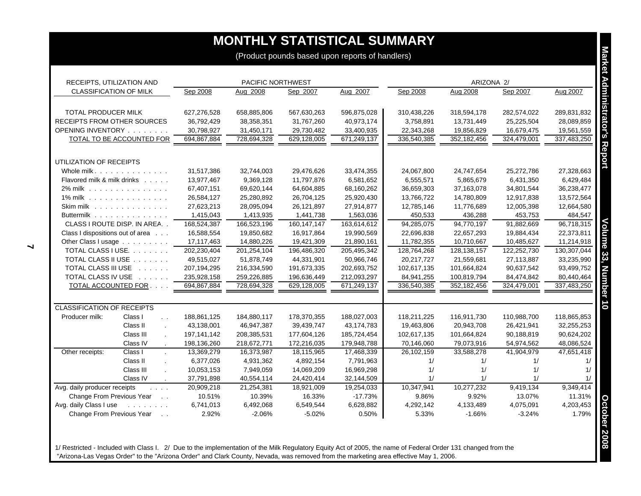| RECEIPTS, UTILIZATION AND                                              | PACIFIC NORTHWEST |             |               |              |             | ARIZONA 2/    |             |             |
|------------------------------------------------------------------------|-------------------|-------------|---------------|--------------|-------------|---------------|-------------|-------------|
| <b>CLASSIFICATION OF MILK</b>                                          | Sep 2008          | Aug 2008    | Sep 2007      | Aug 2007     | Sep 2008    | Aug 2008      | Sep 2007    | Aug 2007    |
| TOTAL PRODUCER MILK                                                    | 627,276,528       | 658,885,806 | 567,630,263   | 596,875,028  | 310,438,226 | 318,594,178   | 282,574,022 | 289,831,832 |
| <b>RECEIPTS FROM OTHER SOURCES</b>                                     | 36,792,429        | 38,358,351  | 31,767,260    | 40,973,174   | 3,758,891   | 13,731,449    | 25,225,504  | 28,089,859  |
| OPENING INVENTORY                                                      | 30,798,927        | 31,450,171  | 29,730,482    | 33,400,935   | 22,343,268  | 19,856,829    | 16,679,475  | 19,561,559  |
| TOTAL TO BE ACCOUNTED FOR                                              | 694,867,884       | 728,694,328 | 629,128,005   | 671,249,137  | 336,540,385 | 352,182,456   | 324,479,001 | 337,483,250 |
| UTILIZATION OF RECEIPTS                                                |                   |             |               |              |             |               |             |             |
| Whole milk.                                                            | 31,517,386        | 32,744,003  | 29,476,626    | 33,474,355   | 24,067,800  | 24,747,654    | 25,272,786  | 27,328,663  |
| Flavored milk & milk drinks                                            | 13,977,467        | 9,369,128   | 11,797,876    | 6,581,652    | 6,555,571   | 5,865,679     | 6,431,350   | 6,429,484   |
| 2% milk                                                                | 67,407,151        | 69,620,144  | 64,604,885    | 68,160,262   | 36,659,303  | 37,163,078    | 34,801,544  | 36,238,477  |
| 1% milk                                                                | 26,584,127        | 25,280,892  | 26,704,125    | 25,920,430   | 13,766,722  | 14,780,809    | 12,917,838  | 13,572,564  |
| Skim milk                                                              | 27,623,213        | 28,095,094  | 26,121,897    | 27,914,877   | 12,785,146  | 11,776,689    | 12,005,398  | 12,664,580  |
| Buttermilk                                                             | 1,415,043         | 1,413,935   | 1,441,738     | 1,563,036    | 450.533     | 436,288       | 453,753     | 484,547     |
| CLASS I ROUTE DISP. IN AREA                                            | 168,524,387       | 166,523,196 | 160, 147, 147 | 163,614,612  | 94,285,075  | 94,770,197    | 91,882,669  | 96,718,315  |
| Class I dispositions out of area                                       | 16,588,554        | 19,850,682  | 16,917,864    | 19,990,569   | 22,696,838  | 22,657,293    | 19,884,434  | 22,373,811  |
| Other Class I usage                                                    | 17,117,463        | 14,880,226  | 19,421,309    | 21,890,161   | 11,782,355  | 10,710,667    | 10,485,627  | 11,214,918  |
| TOTAL CLASS I USE.                                                     | 202,230,404       | 201,254,104 | 196,486,320   | 205,495,342  | 128,764,268 | 128, 138, 157 | 122,252,730 | 130,307,044 |
| TOTAL CLASS II USE                                                     | 49,515,027        | 51,878,749  | 44,331,901    | 50,966,746   | 20,217,727  | 21,559,681    | 27,113,887  | 33,235,990  |
| TOTAL CLASS III USE                                                    | 207,194,295       | 216,334,590 | 191,673,335   | 202,693,752  | 102,617,135 | 101,664,824   | 90,637,542  | 93,499,752  |
| TOTAL CLASS IV USE                                                     | 235,928,158       | 259,226,885 | 196,636,449   | 212,093,297  | 84,941,255  | 100,819,794   | 84,474,842  | 80,440,464  |
| TOTAL ACCOUNTED FOR                                                    | 694,867,884       | 728,694,328 | 629,128,005   | 671,249,137  | 336,540,385 | 352,182,456   | 324,479,001 | 337,483,250 |
| <b>CLASSIFICATION OF RECEIPTS</b>                                      |                   |             |               |              |             |               |             |             |
| Producer milk:<br>Class I<br>$\sim$ $\sim$                             | 188,861,125       | 184,880,117 | 178,370,355   | 188,027,003  | 118,211,225 | 116,911,730   | 110,988,700 | 118,865,853 |
| Class II<br>$\mathbf{r}$                                               | 43,138,001        | 46,947,387  | 39.439.747    | 43, 174, 783 | 19,463,806  | 20.943.708    | 26,421,941  | 32,255,253  |
| Class III                                                              | 197,141,142       | 208,385,531 | 177,604,126   | 185,724,454  | 102,617,135 | 101,664,824   | 90,188,819  | 90,624,202  |
| Class IV                                                               | 198,136,260       | 218,672,771 | 172,216,035   | 179,948,788  | 70,146,060  | 79,073,916    | 54,974,562  | 48,086,524  |
| Other receipts:<br>Class I<br>$\mathcal{L}$                            | 13,369,279        | 16,373,987  | 18,115,965    | 17,468,339   | 26,102,159  | 33,588,278    | 41,904,979  | 47,651,418  |
| Class II                                                               | 6,377,026         | 4,931,362   | 4,892,154     | 7,791,963    | 1/          | 1/            | 1/          |             |
| Class III                                                              | 10,053,153        | 7,949,059   | 14,069,209    | 16,969,298   | 1/          | 1/            | 1/          |             |
| Class IV                                                               | 37,791,898        | 40,554,114  | 24,420,414    | 32,144,509   | 1/          | 1/            | 1/          |             |
| Avg. daily producer receipts<br>$\mathbf{r}$ . The set of $\mathbf{r}$ | 20,909,218        | 21,254,381  | 18,921,009    | 19,254,033   | 10,347,941  | 10,277,232    | 9,419,134   | 9,349,414   |
| Change From Previous Year                                              | 10.51%            | 10.39%      | 16.33%        | $-17.73%$    | 9.86%       | 9.92%         | 13.07%      | 11.31%      |
| Avg. daily Class I use<br>and the company of the company               | 6,741,013         | 6,492,068   | 6,549,544     | 6,628,882    | 4,292,142   | 4,133,489     | 4,075,091   | 4,203,453   |
| Change From Previous Year                                              | 2.92%             | $-2.06%$    | $-5.02%$      | 0.50%        | 5.33%       | $-1.66%$      | $-3.24%$    | 1.79%       |